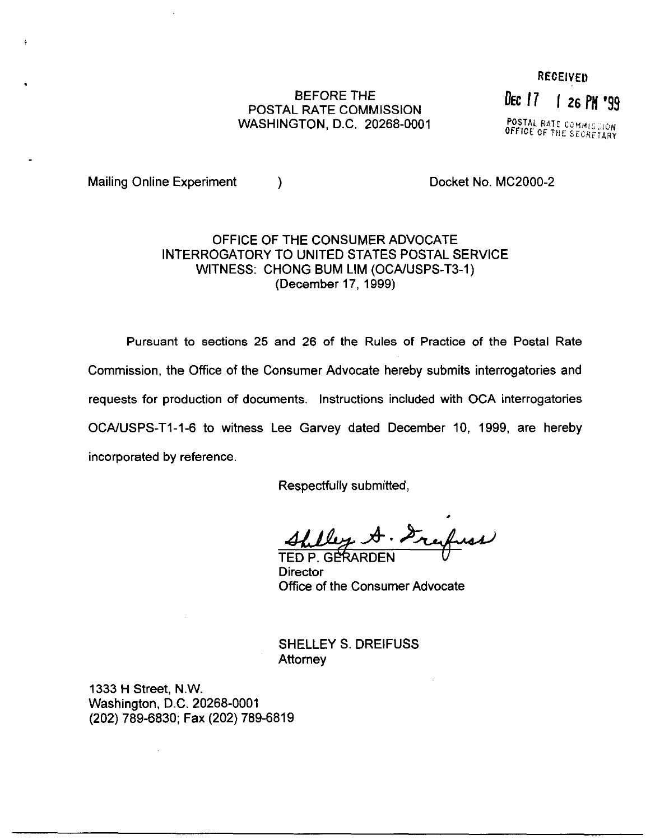## BEFORE THE POSTAL RATE COMMISSION WASHINGTON, D.C. 20268-0001

**RECEIVED** Dec 17 | 26 PM '99

POSTAL RATE COMMISSION OFFICE OF THE SECRETAT

Mailing Online Experiment (a) a control of the Docket No. MC2000-2

.

## OFFICE OF THE CONSUMER ADVOCATE INTERROGATORY TO UNITED STATES POSTAL SERVICE WITNESS: CHONG BUM LIM (OCA/USPS-T3-1) (December 17, 1999)

Pursuant to sections 25 and 26 of the Rules of Practice of the Postal Rate Commission, the Office of the Consumer Advocate hereby submits interrogatories and requests for production of documents. Instructions included with OCA interrogatories OCA/lJSPS-Tl-1-6 to witness Lee Garvey dated December IO, 1999, are hereby incorporated by reference.

Respectfully submitted,

Alley A. Grefuse

**Director** Office of the Consumer Advocate

SHELLEY S. DREIFUSS **Attorney** 

1333 H Street, N.W. Washington, D.C. 20268-0001 (202) 789-6830; Fax (202) 789-6819